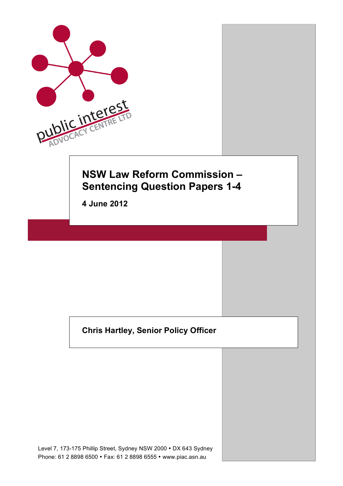

# **Chris Hartley, Senior Policy Officer**

Level 7, 173-175 Phillip Street, Sydney NSW 2000 • DX 643 Sydney Phone: 61 2 8898 6500 • Fax: 61 2 8898 6555 • www.piac.asn.au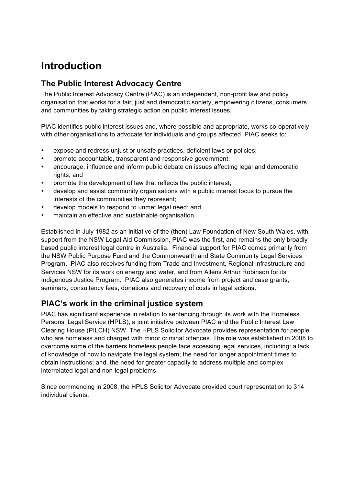# **Introduction**

## **The Public Interest Advocacy Centre**

The Public Interest Advocacy Centre (PIAC) is an independent, non-profit law and policy organisation that works for a fair, just and democratic society, empowering citizens, consumers and communities by taking strategic action on public interest issues.

PIAC identifies public interest issues and, where possible and appropriate, works co-operatively with other organisations to advocate for individuals and groups affected. PIAC seeks to:

- expose and redress uniust or unsafe practices, deficient laws or policies;
- promote accountable, transparent and responsive government;
- encourage, influence and inform public debate on issues affecting legal and democratic rights; and
- promote the development of law that reflects the public interest;
- develop and assist community organisations with a public interest focus to pursue the interests of the communities they represent;
- develop models to respond to unmet legal need; and
- maintain an effective and sustainable organisation.

Established in July 1982 as an initiative of the (then) Law Foundation of New South Wales, with support from the NSW Legal Aid Commission, PIAC was the first, and remains the only broadly based public interest legal centre in Australia. Financial support for PIAC comes primarily from the NSW Public Purpose Fund and the Commonwealth and State Community Legal Services Program. PIAC also receives funding from Trade and Investment, Regional Infrastructure and Services NSW for its work on energy and water, and from Allens Arthur Robinson for its Indigenous Justice Program. PIAC also generates income from project and case grants, seminars, consultancy fees, donations and recovery of costs in legal actions.

# **PIAC's work in the criminal justice system**

PIAC has significant experience in relation to sentencing through its work with the Homeless Persons' Legal Service (HPLS), a joint initiative between PIAC and the Public Interest Law Clearing House (PILCH) NSW. The HPLS Solicitor Advocate provides representation for people who are homeless and charged with minor criminal offences. The role was established in 2008 to overcome some of the barriers homeless people face accessing legal services, including: a lack of knowledge of how to navigate the legal system; the need for longer appointment times to obtain instructions; and, the need for greater capacity to address multiple and complex interrelated legal and non-legal problems.

Since commencing in 2008, the HPLS Solicitor Advocate provided court representation to 314 individual clients.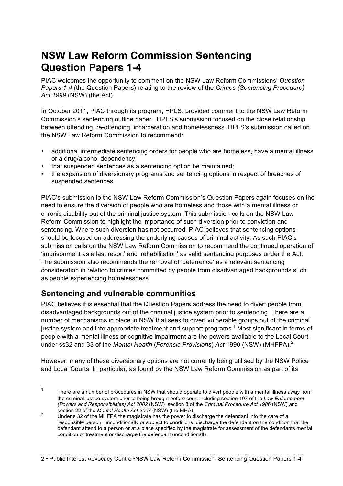# **NSW Law Reform Commission Sentencing Question Papers 1-4**

PIAC welcomes the opportunity to comment on the NSW Law Reform Commissions' *Question Papers 1-4* (the Question Papers) relating to the review of the *Crimes (Sentencing Procedure) Act 1999* (NSW) (the Act).

In October 2011, PIAC through its program, HPLS, provided comment to the NSW Law Reform Commission's sentencing outline paper. HPLS's submission focused on the close relationship between offending, re-offending, incarceration and homelessness. HPLS's submission called on the NSW Law Reform Commission to recommend:

- additional intermediate sentencing orders for people who are homeless, have a mental illness or a drug/alcohol dependency;
- that suspended sentences as a sentencing option be maintained;
- the expansion of diversionary programs and sentencing options in respect of breaches of suspended sentences.

PIAC's submission to the NSW Law Reform Commission's Question Papers again focuses on the need to ensure the diversion of people who are homeless and those with a mental illness or chronic disability out of the criminal justice system. This submission calls on the NSW Law Reform Commission to highlight the importance of such diversion prior to conviction and sentencing. Where such diversion has not occurred, PIAC believes that sentencing options should be focused on addressing the underlying causes of criminal activity. As such PIAC's submission calls on the NSW Law Reform Commission to recommend the continued operation of 'imprisonment as a last resort' and 'rehabilitation' as valid sentencing purposes under the Act. The submission also recommends the removal of 'deterrence' as a relevant sentencing consideration in relation to crimes committed by people from disadvantaged backgrounds such as people experiencing homelessness.

# **Sentencing and vulnerable communities**

PIAC believes it is essential that the Question Papers address the need to divert people from disadvantaged backgrounds out of the criminal justice system prior to sentencing. There are a number of mechanisms in place in NSW that seek to divert vulnerable groups out of the criminal justice system and into appropriate treatment and support programs.<sup>1</sup> Most significant in terms of people with a mental illness or cognitive impairment are the powers available to the Local Court under ss32 and 33 of the *Mental Health* (*Forensic Provisions*) *Act* 1990 (NSW) (MHFPA). 2

However, many of these diversionary options are not currently being utilised by the NSW Police and Local Courts. In particular, as found by the NSW Law Reform Commission as part of its

<sup>&</sup>lt;sup>1</sup> There are a number of procedures in NSW that should operate to divert people with a mental illness away from the criminal justice system prior to being brought before court including section 107 of the *Law Enforcement (Powers and Responsibilities) Act 2002* (NSW) section 8 of the *Criminal Procedure Act 1986* (NSW) and

section 22 of the *Mental Health Act 2007* (NSW) (the MHA). <sup>2</sup> Under s 32 of the MHFPA the magistrate has the power to discharge the defendant into the care of a responsible person, unconditionally or subject to conditions; discharge the defendant on the condition that the defendant attend to a person or at a place specified by the magistrate for assessment of the defendants mental condition or treatment or discharge the defendant unconditionally.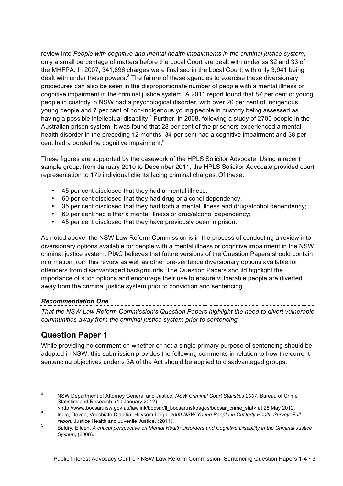review into *People with cognitive and mental health impairments in the criminal justice system*, only a small percentage of matters before the Local Court are dealt with under ss 32 and 33 of the MHFPA. In 2007, 341,896 charges were finalised in the Local Court, with only 3,941 being dealt with under these powers. $3$  The failure of these agencies to exercise these diversionary procedures can also be seen in the disproportionate number of people with a mental illness or cognitive impairment in the criminal justice system. A 2011 report found that 87 per cent of young people in custody in NSW had a psychological disorder, with over 20 per cent of Indigenous young people and 7 per cent of non-Indigenous young people in custody being assessed as having a possible intellectual disability.<sup>4</sup> Further, in 2008, following a study of 2700 people in the Australian prison system, it was found that 28 per cent of the prisoners experienced a mental health disorder in the preceding 12 months, 34 per cent had a cognitive impairment and 38 per cent had a borderline cognitive impairment.<sup>5</sup>

These figures are supported by the casework of the HPLS Solicitor Advocate. Using a recent sample group, from January 2010 to December 2011, the HPLS Solicitor Advocate provided court representation to 179 individual clients facing criminal charges. Of these:

- 45 per cent disclosed that they had a mental illness;
- 60 per cent disclosed that they had drug or alcohol dependency;
- 35 per cent disclosed that they had both a mental illness and drug/alcohol dependency;
- 69 per cent had either a mental illness or drug/alcohol dependency;
- 45 per cent disclosed that they have previously been in prison.

As noted above, the NSW Law Reform Commission is in the process of conducting a review into diversionary options available for people with a mental illness or cognitive impairment in the NSW criminal justice system. PIAC believes that future versions of the Question Papers should contain information from this review as well as other pre-sentence diversionary options available for offenders from disadvantaged backgrounds. The Question Papers should highlight the importance of such options and encourage their use to ensure vulnerable people are diverted away from the criminal justice system prior to conviction and sentencing.

### *Recommendation One*

*That the NSW Law Reform Commission's Question Papers highlight the need to divert vulnerable communities away from the criminal justice system prior to sentencing.* 

# **Question Paper 1**

While providing no comment on whether or not a single primary purpose of sentencing should be adopted in NSW, this submission provides the following comments in relation to how the current sentencing objectives under s 3A of the Act should be applied to disadvantaged groups.

 <sup>3</sup> NSW Department of Attorney General and Justice, *NSW Criminal Court Statistics 2007*, Bureau of Crime Statistics and Research, (10 January 2012)

<sup>&</sup>lt;http://www.bocsar.nsw.gov.au/lawlink/bocsar/ll\_bocsar.nsf/pages/bocsar\_crime\_stat> at 28 May 2012. <sup>4</sup> Indig, Devon, Vecchiato Claudia, Haysom Leigh, *2009 NSW Young People in Custody Health Survey: Full* 

*report,* Justice Health and Juvenile Justice, (2011).

<sup>5</sup> Baldry, Eileen, *A critical perspective on Mental Health Disorders and Cognitive Disability in the Criminal Justice System*, (2008).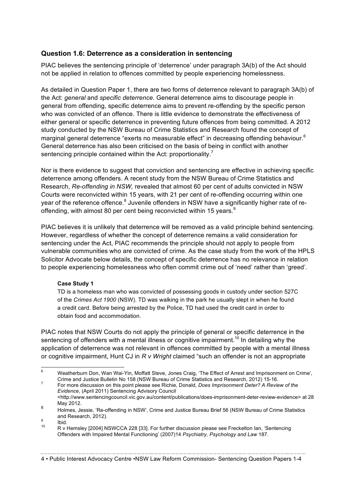#### **Question 1.6: Deterrence as a consideration in sentencing**

PIAC believes the sentencing principle of 'deterrence' under paragraph 3A(b) of the Act should not be applied in relation to offences committed by people experiencing homelessness.

As detailed in Question Paper 1, there are two forms of deterrence relevant to paragraph 3A(b) of the Act: *general* and *specific deterrence*. General deterrence aims to discourage people in general from offending, specific deterrence aims to prevent re-offending by the specific person who was convicted of an offence. There is little evidence to demonstrate the effectiveness of either general or specific deterrence in preventing future offences from being committed. A 2012 study conducted by the NSW Bureau of Crime Statistics and Research found the concept of marginal general deterrence "exerts no measurable effect" in decreasing offending behaviour.<sup>6</sup> General deterrence has also been criticised on the basis of being in conflict with another sentencing principle contained within the Act: proportionality.<sup>7</sup>

Nor is there evidence to suggest that conviction and sentencing are effective in achieving specific deterrence among offenders. A recent study from the NSW Bureau of Crime Statistics and Research, *Re-offending in NSW,* revealed that almost 60 per cent of adults convicted in NSW Courts were reconvicted within 15 years, with 21 per cent of re-offending occurring within one year of the reference offence.<sup>8</sup> Juvenile offenders in NSW have a significantly higher rate of reoffending, with almost 80 per cent being reconvicted within 15 years.<sup>9</sup>

PIAC believes it is unlikely that deterrence will be removed as a valid principle behind sentencing. However, regardless of whether the concept of deterrence remains a valid consideration for sentencing under the Act, PIAC recommends the principle should not apply to people from vulnerable communities who are convicted of crime. As the case study from the work of the HPLS Solicitor Advocate below details, the concept of specific deterrence has no relevance in relation to people experiencing homelessness who often commit crime out of 'need' rather than 'greed'.

#### **Case Study 1**

TD is a homeless man who was convicted of possessing goods in custody under section 527C of the *Crimes Act 1900* (NSW). TD was walking in the park he usually slept in when he found a credit card. Before being arrested by the Police, TD had used the credit card in order to obtain food and accommodation.

PIAC notes that NSW Courts do not apply the principle of general or specific deterrence in the sentencing of offenders with a mental illness or cognitive impairment.<sup>10</sup> In detailing why the application of deterrence was not relevant in offences committed by people with a mental illness or cognitive impairment, Hunt CJ in *R v Wright* claimed "such an offender is not an appropriate

 <sup>6</sup> Weatherburn Don, Wan Wai-Yin, Moffatt Steve, Jones Craig, 'The Effect of Arrest and Imprisonment on Crime', Crime and Justice Bulletin No 158 (NSW Bureau of Crime Statistics and Research, 2012) 15-16.

Crime and Justice Bulletin No 158 (NSW Bureau of Crime Statistics and Research, 2012) 15-16. <sup>7</sup> For more discussion on this point please see Richie, Donald, *Does Imprisonment Deter? A Review of the Evidence*, (April 2011) Sentencing Advisory Council <http://www.sentencingcouncil.vic.gov.au/content/publications/does-imprisonment-deter-review-evidence> at 28

May 2012.

<sup>8</sup> Holmes, Jessie, 'Re-offending in NSW', Crime and Justice Bureau Brief 56 (NSW Bureau of Crime Statistics and Research, 2012).<br>
<sup>9</sup> Ibid.<br>
10 R v Hemsley [2004] NSWCCA 228 [33]. For further discussion please see Freckelton Ian, 'Sentencing

Offenders with Impaired Mental Functioning' (2007)14 *Psychiatry, Psychology and Law* 187.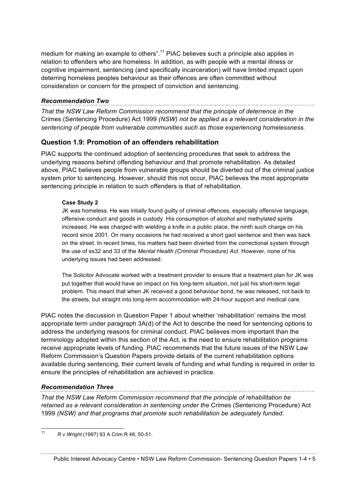medium for making an example to others".<sup>11</sup> PIAC believes such a principle also applies in relation to offenders who are homeless. In addition, as with people with a mental illness or cognitive impairment, sentencing (and specifically incarceration) will have limited impact upon deterring homeless peoples behaviour as their offences are often committed without consideration or concern for the prospect of conviction and sentencing.

#### *Recommendation Two*

*That the NSW Law Reform Commission recommend that the principle of deterrence in the*  Crimes (Sentencing Procedure) Act 1999 *(NSW) not be applied as a relevant consideration in the sentencing of people from vulnerable communities such as those experiencing homelessness.*

### **Question 1.9: Promotion of an offenders rehabilitation**

PIAC supports the continued adoption of sentencing procedures that seek to address the underlying reasons behind offending behaviour and that promote rehabilitation. As detailed above, PIAC believes people from vulnerable groups should be diverted out of the criminal justice system prior to sentencing. However, should this not occur, PIAC believes the most appropriate sentencing principle in relation to such offenders is that of rehabilitation.

#### **Case Study 2**

JK was homeless. He was intially found guilty of criminal offences, especially offensive language, offensive conduct and goods in custody. His consumption of alcohol and methylated spirits increased. He was charged with wielding a knife in a public place, the ninth such charge on his record since 2001. On many occasions he had received a short gaol sentence and then was back on the street. In recent times, his matters had been diverted from the correctional system through the use of ss32 and 33 of the *Mental Health (Criminal Procedure) Act*. However, none of his underlying issues had been addressed.

The Solicitor Advocate worked with a treatment provider to ensure that a treatment plan for JK was put together that would have an impact on his long-term situation, not just his short-term legal problem. This meant that when JK received a good behaviour bond, he was released, not back to the streets, but straight into long-term accommodation with 24-hour support and medical care.

PIAC notes the discussion in Question Paper 1 about whether 'rehabilitation' remains the most appropriate term under paragraph 3A(d) of the Act to describe the need for sentencing options to address the underlying reasons for criminal conduct. PIAC believes more important than the terminology adopted within this section of the Act, is the need to ensure rehabilitation programs receive appropriate levels of funding. PIAC recommends that the future issues of the NSW Law Reform Commission's Question Papers provide details of the current rehabilitation options available during sentencing, their current levels of funding and what funding is required in order to ensure the principles of rehabilitation are achieved in practice.

#### *Recommendation Three*

*That the NSW Law Reform Commission recommend that the principle of rehabilitation be retained as a relevant consideration in sentencing under the* Crimes (Sentencing Procedure) Act 1999 *(NSW) and that programs that promote such rehabilitation be adequately funded.*

 <sup>11</sup> *R v Wright* (1997) 93 A Crim R 48, 50-51.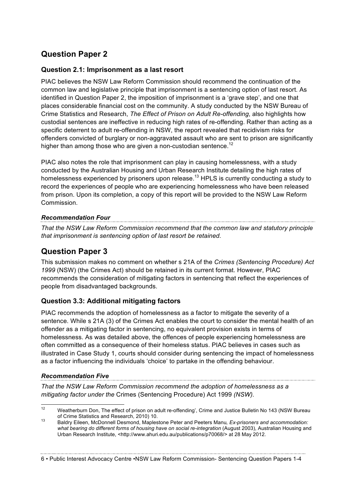# **Question Paper 2**

### **Question 2.1: Imprisonment as a last resort**

PIAC believes the NSW Law Reform Commission should recommend the continuation of the common law and legislative principle that imprisonment is a sentencing option of last resort. As identified in Question Paper 2, the imposition of imprisonment is a 'grave step', and one that places considerable financial cost on the community. A study conducted by the NSW Bureau of Crime Statistics and Research, *The Effect of Prison on Adult Re-offending*, also highlights how custodial sentences are ineffective in reducing high rates of re-offending. Rather than acting as a specific deterrent to adult re-offending in NSW, the report revealed that recidivism risks for offenders convicted of burglary or non-aggravated assault who are sent to prison are significantly higher than among those who are given a non-custodian sentence.<sup>12</sup>

PIAC also notes the role that imprisonment can play in causing homelessness, with a study conducted by the Australian Housing and Urban Research Institute detailing the high rates of homelessness experienced by prisoners upon release.<sup>13</sup> HPLS is currently conducting a study to record the experiences of people who are experiencing homelessness who have been released from prison. Upon its completion, a copy of this report will be provided to the NSW Law Reform Commission.

### *Recommendation Four*

*That the NSW Law Reform Commission recommend that the common law and statutory principle that imprisonment is sentencing option of last resort be retained.*

### **Question Paper 3**

This submission makes no comment on whether s 21A of the *Crimes (Sentencing Procedure) Act 1999* (NSW) (the Crimes Act) should be retained in its current format. However, PIAC recommends the consideration of mitigating factors in sentencing that reflect the experiences of people from disadvantaged backgrounds.

### **Question 3.3: Additional mitigating factors**

PIAC recommends the adoption of homelessness as a factor to mitigate the severity of a sentence. While s 21A (3) of the Crimes Act enables the court to consider the mental health of an offender as a mitigating factor in sentencing, no equivalent provision exists in terms of homelessness. As was detailed above, the offences of people experiencing homelessness are often committed as a consequence of their homeless status. PIAC believes in cases such as illustrated in Case Study 1, courts should consider during sentencing the impact of homelessness as a factor influencing the individuals 'choice' to partake in the offending behaviour.

### *Recommendation Five*

*That the NSW Law Reform Commission recommend the adoption of homelessness as a mitigating factor under the* Crimes (Sentencing Procedure) Act 1999 *(NSW).*

#### 6 • Public Interest Advocacy Centre •NSW Law Reform Commission- Sentencing Question Papers 1-4

 $\frac{12}{12}$  Weatherburn Don, The effect of prison on adult re-offending', Crime and Justice Bulletin No 143 (NSW Bureau of Crime Statistics and Research, 2010) 10. <sup>13</sup> Baldry Eileen, McDonnell Desmond, Maplestone Peter and Peeters Manu*, Ex-prisoners and accommodation:* 

*what bearing do different forms of housing have on social re-integration* (August 2003), Australian Housing and Urban Research Institute, <http://www.ahuri.edu.au/publications/p70068/> at 28 May 2012.